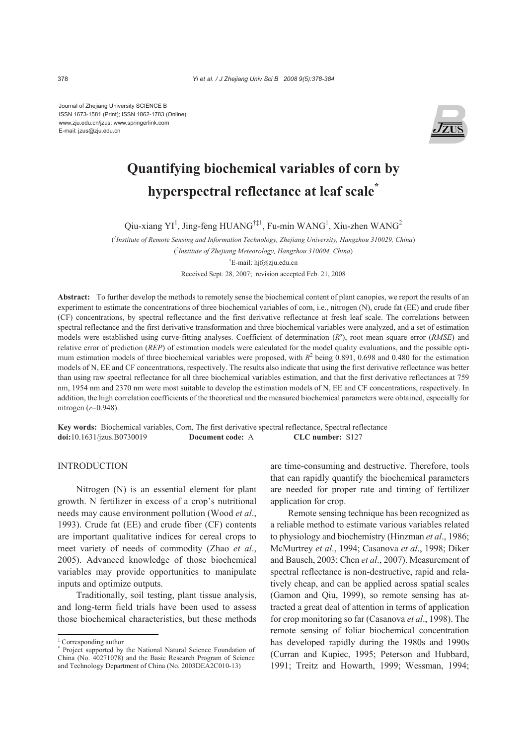Journal of Zhejiang University SCIENCE B ISSN 1673-1581 (Print); ISSN 1862-1783 (Online) www.zju.edu.cn/jzus; www.springerlink.com E-mail: jzus@zju.edu.cn



# **Quantifying biochemical variables of corn by hyperspectral reflectance at leaf scale\***

Qiu-xiang YI<sup>1</sup>, Jing-feng HUANG<sup>†‡1</sup>, Fu-min WANG<sup>1</sup>, Xiu-zhen WANG<sup>2</sup>

( *1 Institute of Remote Sensing and Information Technology, Zhejiang University, Hangzhou 310029, China*)

( *2 Institute of Zhejiang Meteorology, Hangzhou 310004, China*) † E-mail: hjf@zju.edu.cn

Received Sept. 28, 2007; revision accepted Feb. 21, 2008

**Abstract:** To further develop the methods to remotely sense the biochemical content of plant canopies, we report the results of an experiment to estimate the concentrations of three biochemical variables of corn, i.e., nitrogen (N), crude fat (EE) and crude fiber (CF) concentrations, by spectral reflectance and the first derivative reflectance at fresh leaf scale. The correlations between spectral reflectance and the first derivative transformation and three biochemical variables were analyzed, and a set of estimation models were established using curve-fitting analyses. Coefficient of determination (*R*²), root mean square error (*RMSE*) and relative error of prediction (*REP*) of estimation models were calculated for the model quality evaluations, and the possible optimum estimation models of three biochemical variables were proposed, with  $R^2$  being 0.891, 0.698 and 0.480 for the estimation models of N, EE and CF concentrations, respectively. The results also indicate that using the first derivative reflectance was better than using raw spectral reflectance for all three biochemical variables estimation, and that the first derivative reflectances at 759 nm, 1954 nm and 2370 nm were most suitable to develop the estimation models of N, EE and CF concentrations, respectively. In addition, the high correlation coefficients of the theoretical and the measured biochemical parameters were obtained, especially for nitrogen (*r*=0.948).

**Key words:** Biochemical variables, Corn, The first derivative spectral reflectance, Spectral reflectance **doi:**10.1631/jzus.B0730019 **Document code:** A **CLC number:** S127

### **INTRODUCTION**

Nitrogen (N) is an essential element for plant growth. N fertilizer in excess of a crop's nutritional needs may cause environment pollution (Wood *et al*., 1993). Crude fat (EE) and crude fiber (CF) contents are important qualitative indices for cereal crops to meet variety of needs of commodity (Zhao *et al*., 2005). Advanced knowledge of those biochemical variables may provide opportunities to manipulate inputs and optimize outputs.

Traditionally, soil testing, plant tissue analysis, and long-term field trials have been used to assess those biochemical characteristics, but these methods

are time-consuming and destructive. Therefore, tools that can rapidly quantify the biochemical parameters are needed for proper rate and timing of fertilizer application for crop.

Remote sensing technique has been recognized as a reliable method to estimate various variables related to physiology and biochemistry (Hinzman *et al*., 1986; McMurtrey *et al*., 1994; Casanova *et al*., 1998; Diker and Bausch, 2003; Chen *et al*., 2007). Measurement of spectral reflectance is non-destructive, rapid and relatively cheap, and can be applied across spatial scales (Gamon and Qiu, 1999), so remote sensing has attracted a great deal of attention in terms of application for crop monitoring so far (Casanova *et al*., 1998). The remote sensing of foliar biochemical concentration has developed rapidly during the 1980s and 1990s (Curran and Kupiec, 1995; Peterson and Hubbard, 1991; Treitz and Howarth, 1999; Wessman, 1994;

<sup>‡</sup> Corresponding author

<sup>\*</sup> Project supported by the National Natural Science Foundation of China (No. 40271078) and the Basic Research Program of Science and Technology Department of China (No. 2003DEA2C010-13)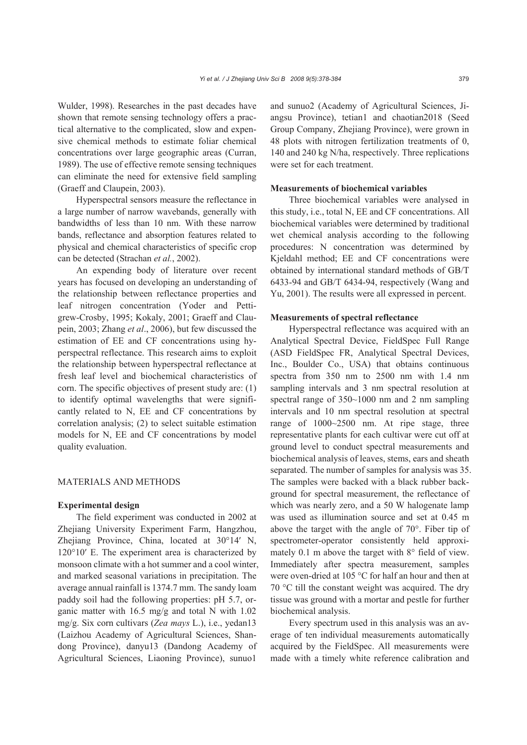Wulder, 1998). Researches in the past decades have shown that remote sensing technology offers a practical alternative to the complicated, slow and expensive chemical methods to estimate foliar chemical concentrations over large geographic areas (Curran, 1989). The use of effective remote sensing techniques can eliminate the need for extensive field sampling (Graeff and Claupein, 2003).

Hyperspectral sensors measure the reflectance in a large number of narrow wavebands, generally with bandwidths of less than 10 nm. With these narrow bands, reflectance and absorption features related to physical and chemical characteristics of specific crop can be detected (Strachan *et al.*, 2002).

An expending body of literature over recent years has focused on developing an understanding of the relationship between reflectance properties and leaf nitrogen concentration (Yoder and Pettigrew-Crosby, 1995; Kokaly, 2001; Graeff and Claupein, 2003; Zhang *et al*., 2006), but few discussed the estimation of EE and CF concentrations using hyperspectral reflectance. This research aims to exploit the relationship between hyperspectral reflectance at fresh leaf level and biochemical characteristics of corn. The specific objectives of present study are: (1) to identify optimal wavelengths that were significantly related to N, EE and CF concentrations by correlation analysis; (2) to select suitable estimation models for N, EE and CF concentrations by model quality evaluation.

#### MATERIALS AND METHODS

#### **Experimental design**

The field experiment was conducted in 2002 at Zhejiang University Experiment Farm, Hangzhou, Zhejiang Province, China, located at 30°14′ N, 120°10′ E. The experiment area is characterized by monsoon climate with a hot summer and a cool winter, and marked seasonal variations in precipitation. The average annual rainfall is 1374.7 mm. The sandy loam paddy soil had the following properties: pH 5.7, organic matter with 16.5 mg/g and total N with 1.02 mg/g. Six corn cultivars (*Zea mays* L.), i.e., yedan13 (Laizhou Academy of Agricultural Sciences, Shandong Province), danyu13 (Dandong Academy of Agricultural Sciences, Liaoning Province), sunuo1

and sunuo2 (Academy of Agricultural Sciences, Jiangsu Province), tetian1 and chaotian2018 (Seed Group Company, Zhejiang Province), were grown in 48 plots with nitrogen fertilization treatments of 0, 140 and 240 kg N/ha, respectively. Three replications were set for each treatment.

#### **Measurements of biochemical variables**

Three biochemical variables were analysed in this study, i.e., total N, EE and CF concentrations. All biochemical variables were determined by traditional wet chemical analysis according to the following procedures: N concentration was determined by Kjeldahl method; EE and CF concentrations were obtained by international standard methods of GB/T 6433-94 and GB/T 6434-94, respectively (Wang and Yu, 2001). The results were all expressed in percent.

#### **Measurements of spectral reflectance**

Hyperspectral reflectance was acquired with an Analytical Spectral Device, FieldSpec Full Range (ASD FieldSpec FR, Analytical Spectral Devices, Inc., Boulder Co., USA) that obtains continuous spectra from 350 nm to 2500 nm with 1.4 nm sampling intervals and 3 nm spectral resolution at spectral range of 350~1000 nm and 2 nm sampling intervals and 10 nm spectral resolution at spectral range of 1000~2500 nm. At ripe stage, three representative plants for each cultivar were cut off at ground level to conduct spectral measurements and biochemical analysis of leaves, stems, ears and sheath separated. The number of samples for analysis was 35. The samples were backed with a black rubber background for spectral measurement, the reflectance of which was nearly zero, and a 50 W halogenate lamp was used as illumination source and set at 0.45 m above the target with the angle of 70°. Fiber tip of spectrometer-operator consistently held approximately 0.1 m above the target with 8° field of view. Immediately after spectra measurement, samples were oven-dried at 105 °C for half an hour and then at 70 °C till the constant weight was acquired. The dry tissue was ground with a mortar and pestle for further biochemical analysis.

Every spectrum used in this analysis was an average of ten individual measurements automatically acquired by the FieldSpec. All measurements were made with a timely white reference calibration and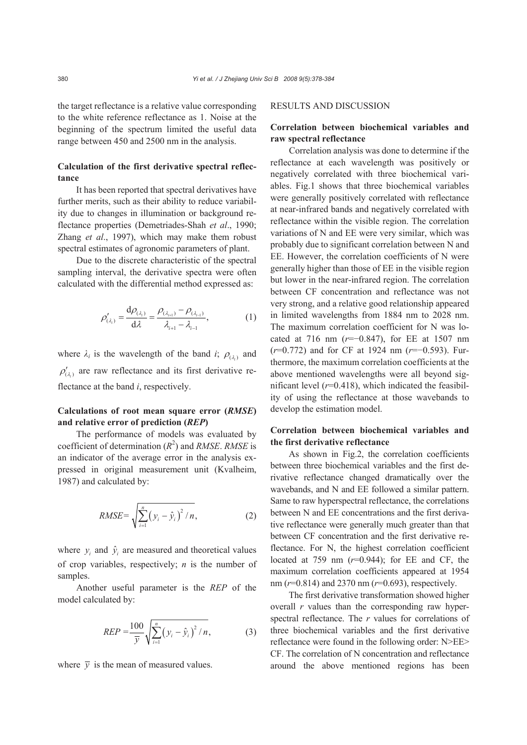the target reflectance is a relative value corresponding to the white reference reflectance as 1. Noise at the beginning of the spectrum limited the useful data range between 450 and 2500 nm in the analysis.

## **Calculation of the first derivative spectral reflectance**

It has been reported that spectral derivatives have further merits, such as their ability to reduce variability due to changes in illumination or background reflectance properties (Demetriades-Shah *et al*., 1990; Zhang *et al*., 1997), which may make them robust spectral estimates of agronomic parameters of plant.

Due to the discrete characteristic of the spectral sampling interval, the derivative spectra were often calculated with the differential method expressed as:

$$
\rho'_{(\lambda_i)} = \frac{d\rho_{(\lambda_i)}}{d\lambda} = \frac{\rho_{(\lambda_{i+1})} - \rho_{(\lambda_{i-1})}}{\lambda_{i+1} - \lambda_{i-1}},
$$
\n(1)

where  $\lambda_i$  is the wavelength of the band *i*;  $\rho_{(\lambda_i)}$  and  $\rho'_{(\lambda)}$  are raw reflectance and its first derivative reflectance at the band *i*, respectively.

# **Calculations of root mean square error (***RMSE***) and relative error of prediction (***REP***)**

The performance of models was evaluated by coefficient of determination  $(R^2)$  and *RMSE*. *RMSE* is an indicator of the average error in the analysis expressed in original measurement unit (Kvalheim, 1987) and calculated by:

RMSE = 
$$
\sqrt{\sum_{i=1}^{n} (y_i - \hat{y}_i)^2 / n}
$$
, (2)

where  $y_i$  and  $\hat{y}_i$  are measured and theoretical values of crop variables, respectively; *n* is the number of samples.

Another useful parameter is the *REP* of the model calculated by:

$$
REP = \frac{100}{\overline{y}} \sqrt{\sum_{i=1}^{n} (y_i - \hat{y}_i)^2 / n},
$$
 (3)

where  $\bar{v}$  is the mean of measured values.

### RESULTS AND DISCUSSION

# **Correlation between biochemical variables and raw spectral reflectance**

Correlation analysis was done to determine if the reflectance at each wavelength was positively or negatively correlated with three biochemical variables. Fig.1 shows that three biochemical variables were generally positively correlated with reflectance at near-infrared bands and negatively correlated with reflectance within the visible region. The correlation variations of N and EE were very similar, which was probably due to significant correlation between N and EE. However, the correlation coefficients of N were generally higher than those of EE in the visible region but lower in the near-infrared region. The correlation between CF concentration and reflectance was not very strong, and a relative good relationship appeared in limited wavelengths from 1884 nm to 2028 nm. The maximum correlation coefficient for N was located at 716 nm (*r*=−0.847), for EE at 1507 nm (*r*=0.772) and for CF at 1924 nm (*r*=−0.593). Furthermore, the maximum correlation coefficients at the above mentioned wavelengths were all beyond significant level  $(r=0.418)$ , which indicated the feasibility of using the reflectance at those wavebands to develop the estimation model.

## **Correlation between biochemical variables and the first derivative reflectance**

As shown in Fig.2, the correlation coefficients between three biochemical variables and the first derivative reflectance changed dramatically over the wavebands, and N and EE followed a similar pattern. Same to raw hyperspectral reflectance, the correlations between N and EE concentrations and the first derivative reflectance were generally much greater than that between CF concentration and the first derivative reflectance. For N, the highest correlation coefficient located at 759 nm (*r*=0.944); for EE and CF, the maximum correlation coefficients appeared at 1954 nm (*r*=0.814) and 2370 nm (*r*=0.693), respectively.

The first derivative transformation showed higher overall *r* values than the corresponding raw hyperspectral reflectance. The *r* values for correlations of three biochemical variables and the first derivative reflectance were found in the following order: N>EE> CF. The correlation of N concentration and reflectance around the above mentioned regions has been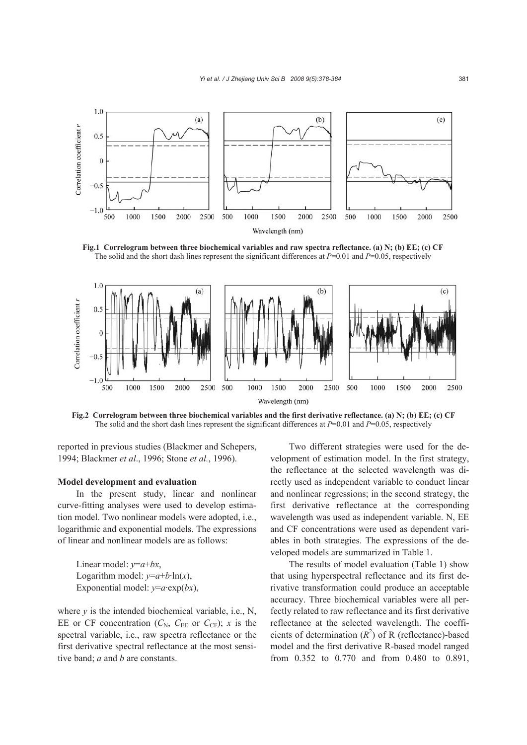

**Fig.1 Correlogram between three biochemical variables and raw spectra reflectance. (a) N; (b) EE; (c) CF**  The solid and the short dash lines represent the significant differences at *P*=0.01 and *P*=0.05, respectively



**Fig.2 Correlogram between three biochemical variables and the first derivative reflectance. (a) N; (b) EE; (c) CF** The solid and the short dash lines represent the significant differences at *P*=0.01 and *P*=0.05, respectively

reported in previous studies (Blackmer and Schepers, 1994; Blackmer *et al*., 1996; Stone *et al.*, 1996).

### **Model development and evaluation**

In the present study, linear and nonlinear curve-fitting analyses were used to develop estimation model. Two nonlinear models were adopted, i.e., logarithmic and exponential models. The expressions of linear and nonlinear models are as follows:

Linear model: *y*=*a*+*bx*, Logarithm model:  $y=a+b \cdot \ln(x)$ , Exponential model:  $y=a$ ·exp(*bx*),

where  $y$  is the intended biochemical variable, i.e., N, EE or CF concentration  $(C_N, C_{EE}$  or  $C_{CF}$ ); *x* is the spectral variable, i.e., raw spectra reflectance or the first derivative spectral reflectance at the most sensitive band; *a* and *b* are constants.

Two different strategies were used for the development of estimation model. In the first strategy, the reflectance at the selected wavelength was directly used as independent variable to conduct linear and nonlinear regressions; in the second strategy, the first derivative reflectance at the corresponding wavelength was used as independent variable. N, EE and CF concentrations were used as dependent variables in both strategies. The expressions of the developed models are summarized in Table 1.

The results of model evaluation (Table 1) show that using hyperspectral reflectance and its first derivative transformation could produce an acceptable accuracy. Three biochemical variables were all perfectly related to raw reflectance and its first derivative reflectance at the selected wavelength. The coefficients of determination  $(R^2)$  of R (reflectance)-based model and the first derivative R-based model ranged from 0.352 to 0.770 and from 0.480 to 0.891,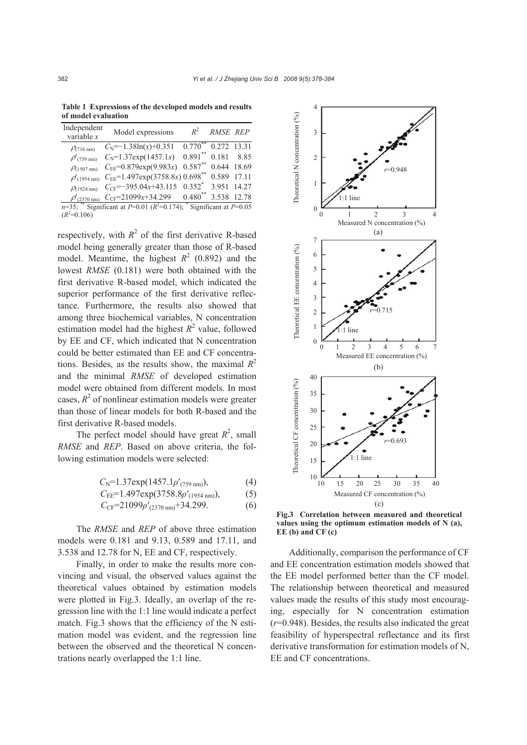**Table 1 Expressions of the developed models and results of model evaluation** 

| Independent<br>variable $x$                                                | Model expressions                               | $R^2$                 | RMSE REP    |       |
|----------------------------------------------------------------------------|-------------------------------------------------|-----------------------|-------------|-------|
| $P(716 \text{ nm})$                                                        | $C_N$ =-1.38ln(x)+0.351                         | $0.770^{\degree}$     | 0.272 13.31 |       |
| $\rho'$ (759 nm)                                                           | $C_N$ =1.37exp(1457.1x)                         | $0.891**$             | 0.181       | 8.85  |
| $\rho$ (1507 nm)                                                           | $C_{EE} = 0.879 \exp(9.983x)$                   | $0.587**$             | 0.644 18.69 |       |
| $\rho'$ (1954 nm)                                                          | $C_{EE}$ =1.497exp(3758.8x) 0.698 <sup>**</sup> |                       | 0.589       | 17.11 |
| $\rho$ (1924 nm)                                                           | $C_{CF} = -395.04x + 43.115$                    | $0.352^*$             | 3.951 14.27 |       |
| $\rho'$ (2370 nm)                                                          | $C_{CF}$ =21099x+34.299                         | $0.480$ <sup>**</sup> | 3.538 12.78 |       |
| $n=35$ ; ** Significant at P=0.01 ( $R^2$ =0.174); * Significant at P=0.05 |                                                 |                       |             |       |
| $(R^2=0.106)$                                                              |                                                 |                       |             |       |

respectively, with  $R^2$  of the first derivative R-based model being generally greater than those of R-based model. Meantime, the highest  $R^2$  (0.892) and the lowest *RMSE* (0.181) were both obtained with the first derivative R-based model, which indicated the superior performance of the first derivative reflectance. Furthermore, the results also showed that among three biochemical variables, N concentration estimation model had the highest  $R^2$  value, followed by EE and CF, which indicated that N concentration could be better estimated than EE and CF concentrations. Besides, as the results show, the maximal  $R^2$ and the minimal *RMSE* of developed estimation model were obtained from different models. In most cases,  $R^2$  of nonlinear estimation models were greater than those of linear models for both R-based and the first derivative R-based models.

The perfect model should have great  $R^2$ , small *RMSE* and *REP*. Based on above criteria, the following estimation models were selected:

$$
C_{\rm N} = 1.37 \exp(1457.1 \rho'_{(759 \text{ nm})}),\tag{4}
$$

$$
C_{\rm EE} = 1.497 \exp(3758.8 \rho'_{(1954 \text{ nm})}), \tag{5}
$$

$$
C_{\rm CF} = 21099 \rho'_{(2370 \text{ nm})} + 34.299. \tag{6}
$$

The *RMSE* and *REP* of above three estimation models were 0.181 and 9.13, 0.589 and 17.11, and 3.538 and 12.78 for N, EE and CF, respectively.

Finally, in order to make the results more convincing and visual, the observed values against the theoretical values obtained by estimation models were plotted in Fig.3. Ideally, an overlap of the regression line with the 1:1 line would indicate a perfect match. Fig.3 shows that the efficiency of the N estimation model was evident, and the regression line between the observed and the theoretical N concentrations nearly overlapped the 1:1 line.



**Fig.3 Correlation between measured and theoretical values using the optimum estimation models of N (a), EE (b) and CF (c)** 

Additionally, comparison the performance of CF and EE concentration estimation models showed that the EE model performed better than the CF model. The relationship between theoretical and measured values made the results of this study most encouraging, especially for N concentration estimation (*r*=0.948). Besides, the results also indicated the great feasibility of hyperspectral reflectance and its first derivative transformation for estimation models of N, EE and CF concentrations.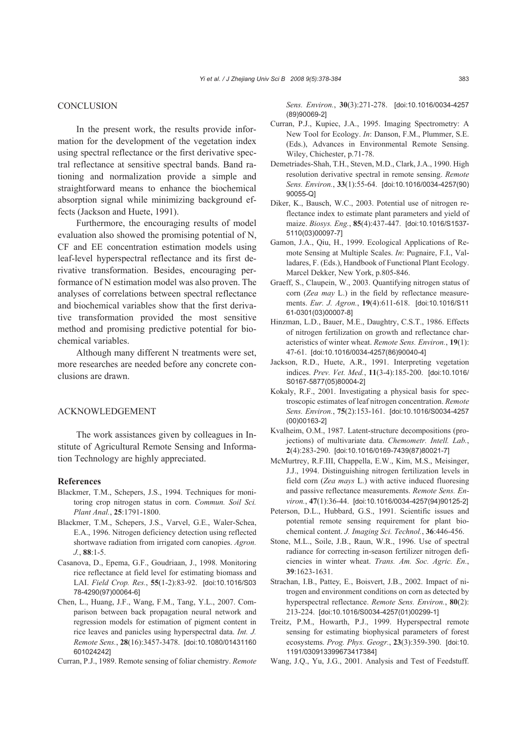#### **CONCLUSION**

In the present work, the results provide information for the development of the vegetation index using spectral reflectance or the first derivative spectral reflectance at sensitive spectral bands. Band rationing and normalization provide a simple and straightforward means to enhance the biochemical absorption signal while minimizing background effects (Jackson and Huete, 1991).

Furthermore, the encouraging results of model evaluation also showed the promising potential of N, CF and EE concentration estimation models using leaf-level hyperspectral reflectance and its first derivative transformation. Besides, encouraging performance of N estimation model was also proven. The analyses of correlations between spectral reflectance and biochemical variables show that the first derivative transformation provided the most sensitive method and promising predictive potential for biochemical variables.

Although many different N treatments were set, more researches are needed before any concrete conclusions are drawn.

#### ACKNOWLEDGEMENT

The work assistances given by colleagues in Institute of Agricultural Remote Sensing and Information Technology are highly appreciated.

#### **References**

- Blackmer, T.M., Schepers, J.S., 1994. Techniques for monitoring crop nitrogen status in corn. *Commun. Soil Sci. Plant Anal.*, **25**:1791-1800.
- Blackmer, T.M., Schepers, J.S., Varvel, G.E., Waler-Schea, E.A., 1996. Nitrogen deficiency detection using reflected shortwave radiation from irrigated corn canopies. *Agron. J.*, **88**:1-5.
- Casanova, D., Epema, G.F., Goudriaan, J., 1998. Monitoring rice reflectance at field level for estimating biomass and LAI. *Field Crop. Res.*, **55**(1-2):83-92. [doi:10.1016/S03 78-4290(97)00064-6]
- Chen, L., Huang, J.F., Wang, F.M., Tang, Y.L., 2007. Comparison between back propagation neural network and regression models for estimation of pigment content in rice leaves and panicles using hyperspectral data. *Int. J. Remote Sens.*, **28**(16):3457-3478. [doi:10.1080/01431160 601024242]
- Curran, P.J., 1989. Remote sensing of foliar chemistry. *Remote*

*Sens. Environ.*, **30**(3):271-278. [doi:10.1016/0034-4257 (89)90069-2]

- Curran, P.J., Kupiec, J.A., 1995. Imaging Spectrometry: A New Tool for Ecology. *In*: Danson, F.M., Plummer, S.E. (Eds.), Advances in Environmental Remote Sensing. Wiley, Chichester, p.71-78.
- Demetriades-Shah, T.H., Steven, M.D., Clark, J.A., 1990. High resolution derivative spectral in remote sensing. *Remote Sens. Environ.*, **33**(1):55-64. [doi:10.1016/0034-4257(90) 90055-Q]
- Diker, K., Bausch, W.C., 2003. Potential use of nitrogen reflectance index to estimate plant parameters and yield of maize. *Biosys. Eng.*, **85**(4):437-447. [doi:10.1016/S1537- 5110(03)00097-7]
- Gamon, J.A., Qiu, H., 1999. Ecological Applications of Remote Sensing at Multiple Scales. *In*: Pugnaire, F.I., Valladares, F. (Eds.), Handbook of Functional Plant Ecology. Marcel Dekker, New York, p.805-846.
- Graeff, S., Claupein, W., 2003. Quantifying nitrogen status of corn (*Zea may* L.) in the field by reflectance measurements. *Eur. J. Agron.*, **19**(4):611-618. [doi:10.1016/S11 61-0301(03)00007-8]
- Hinzman, L.D., Bauer, M.E., Daughtry, C.S.T., 1986. Effects of nitrogen fertilization on growth and reflectance characteristics of winter wheat. *Remote Sens. Environ.*, **19**(1): 47-61. [doi:10.1016/0034-4257(86)90040-4]
- Jackson, R.D., Huete, A.R., 1991. Interpreting vegetation indices. *Prev. Vet. Med.*, **11**(3-4):185-200. [doi:10.1016/ S0167-5877(05)80004-2]
- Kokaly, R.F., 2001. Investigating a physical basis for spectroscopic estimates of leaf nitrogen concentration. *Remote Sens. Environ.*, **75**(2):153-161. [doi:10.1016/S0034-4257 (00)00163-2]
- Kvalheim, O.M., 1987. Latent-structure decompositions (projections) of multivariate data. *Chemometr. Intell. Lab.*, **2**(4):283-290. [doi:10.1016/0169-7439(87)80021-7]
- McMurtrey, R.F.III, Chappella, E.W., Kim, M.S., Meisinger, J.J., 1994. Distinguishing nitrogen fertilization levels in field corn (*Zea mays* L.) with active induced fluoresing and passive reflectance measurements. *Remote Sens. Environ.*, **47**(1):36-44. [doi:10.1016/0034-4257(94)90125-2]
- Peterson, D.L., Hubbard, G.S., 1991. Scientific issues and potential remote sensing requirement for plant biochemical content. *J. Imaging Sci. Technol.*, **36**:446-456.
- Stone, M.L., Soile, J.B., Raun, W.R., 1996. Use of spectral radiance for correcting in-season fertilizer nitrogen deficiencies in winter wheat. *Trans. Am. Soc. Agric. En.*, **39**:1623-1631.
- Strachan, I.B., Pattey, E., Boisvert, J.B., 2002. Impact of nitrogen and environment conditions on corn as detected by hyperspectral reflectance. *Remote Sens. Environ.*, **80**(2): 213-224. [doi:10.1016/S0034-4257(01)00299-1]
- Treitz, P.M., Howarth, P.J., 1999. Hyperspectral remote sensing for estimating biophysical parameters of forest ecosystems. *Prog. Phys. Geogr.*, **23**(3):359-390. [doi:10. 1191/030913399673417384]
- Wang, J.Q., Yu, J.G., 2001. Analysis and Test of Feedstuff.